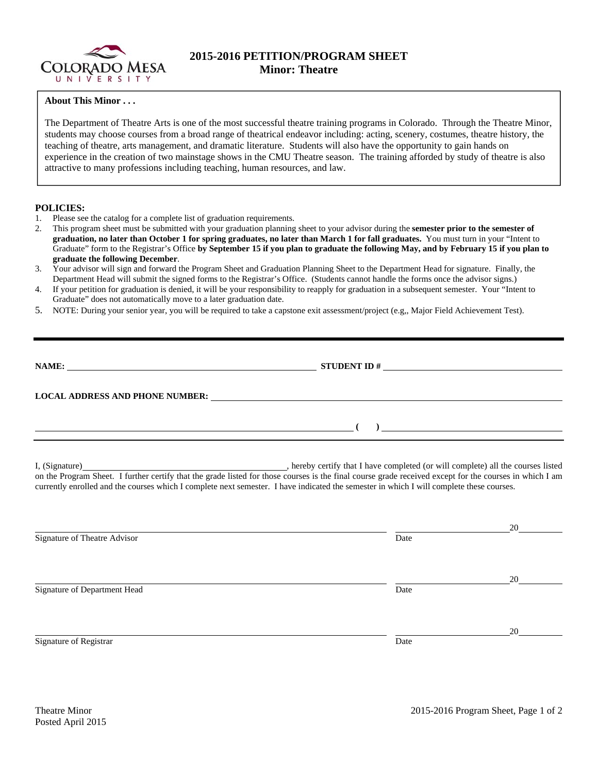

## **2015-2016 PETITION/PROGRAM SHEET Minor: Theatre**

## **About This Minor . . .**

The Department of Theatre Arts is one of the most successful theatre training programs in Colorado. Through the Theatre Minor, students may choose courses from a broad range of theatrical endeavor including: acting, scenery, costumes, theatre history, the teaching of theatre, arts management, and dramatic literature. Students will also have the opportunity to gain hands on experience in the creation of two mainstage shows in the CMU Theatre season. The training afforded by study of theatre is also attractive to many professions including teaching, human resources, and law.

## **POLICIES:**

- 1. Please see the catalog for a complete list of graduation requirements.
- 2. This program sheet must be submitted with your graduation planning sheet to your advisor during the **semester prior to the semester of graduation, no later than October 1 for spring graduates, no later than March 1 for fall graduates.** You must turn in your "Intent to Graduate" form to the Registrar's Office **by September 15 if you plan to graduate the following May, and by February 15 if you plan to graduate the following December**.
- 3. Your advisor will sign and forward the Program Sheet and Graduation Planning Sheet to the Department Head for signature. Finally, the Department Head will submit the signed forms to the Registrar's Office. (Students cannot handle the forms once the advisor signs.)
- 4. If your petition for graduation is denied, it will be your responsibility to reapply for graduation in a subsequent semester. Your "Intent to Graduate" does not automatically move to a later graduation date.
- 5. NOTE: During your senior year, you will be required to take a capstone exit assessment/project (e.g,, Major Field Achievement Test).

| NAME:                                  | <b>STUDENT ID#</b><br><u> 1980 - Jan Samuel Barbara, margaret e</u> |  |  |
|----------------------------------------|---------------------------------------------------------------------|--|--|
| <b>LOCAL ADDRESS AND PHONE NUMBER:</b> |                                                                     |  |  |
|                                        |                                                                     |  |  |

I, (Signature) , hereby certify that I have completed (or will complete) all the courses listed on the Program Sheet. I further certify that the grade listed for those courses is the final course grade received except for the courses in which I am currently enrolled and the courses which I complete next semester. I have indicated the semester in which I will complete these courses.

|                              |      | 20 |
|------------------------------|------|----|
| Signature of Theatre Advisor | Date |    |
|                              |      |    |
|                              |      | 20 |
| Signature of Department Head | Date |    |
|                              |      |    |
|                              |      | 20 |
| Signature of Registrar       | Date |    |
|                              |      |    |